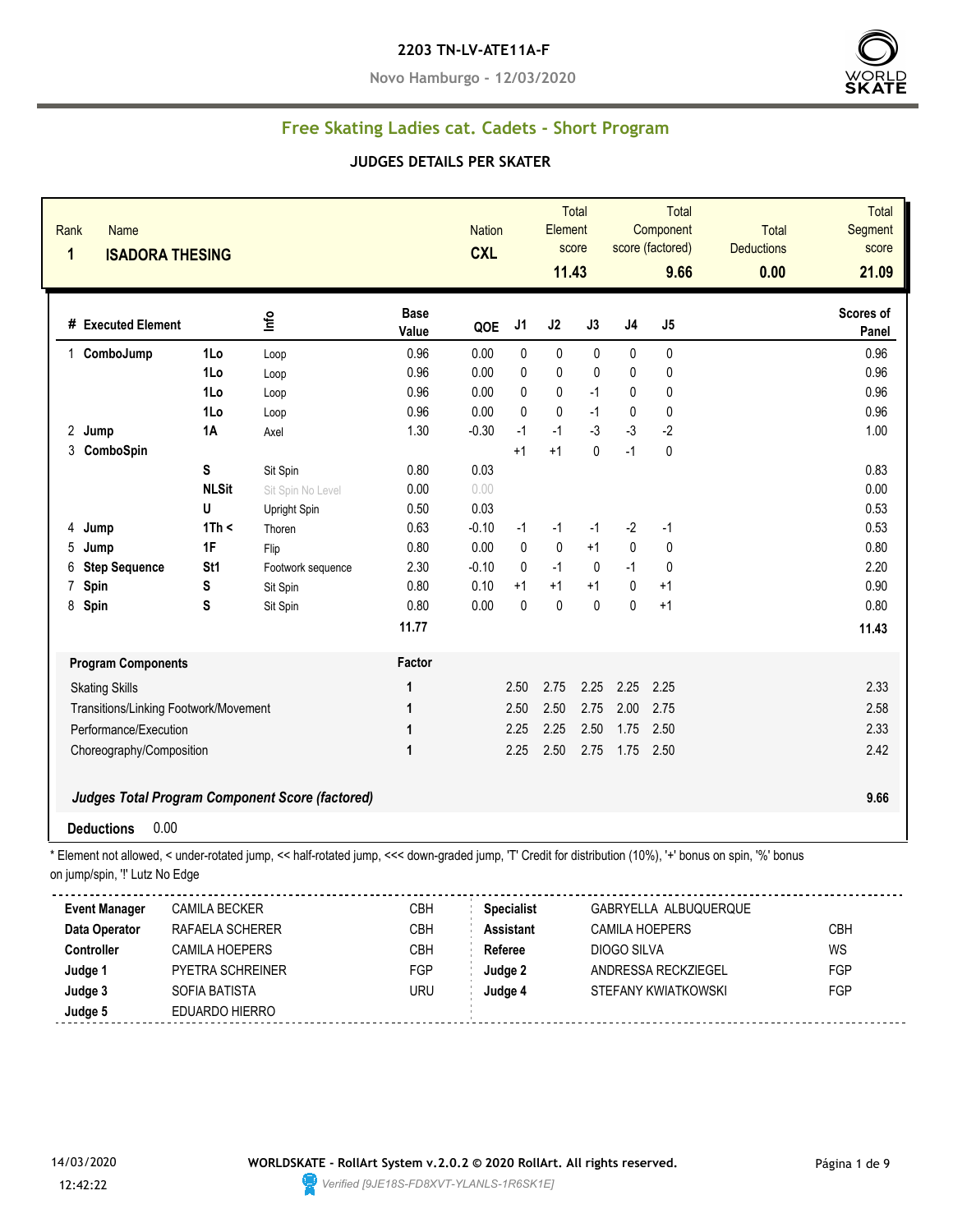#### **2203 TN-LV-ATE11A-F**

**Novo Hamburgo - 12/03/2020**



# **Free Skating Ladies cat. Cadets - Short Program**

#### **JUDGES DETAILS PER SKATER**

| Rank<br>1 | <b>Name</b><br><b>ISADORA THESING</b> |                       |                                                                                                                                                          |                      | <b>Nation</b><br><b>CXL</b> |                   | Element<br>11.43 | <b>Total</b><br>score |                    | <b>Total</b><br>Component<br>score (factored)<br>9.66 | <b>Total</b><br><b>Deductions</b><br>0.00 | <b>Total</b><br>Segment<br>score<br>21.09 |
|-----------|---------------------------------------|-----------------------|----------------------------------------------------------------------------------------------------------------------------------------------------------|----------------------|-----------------------------|-------------------|------------------|-----------------------|--------------------|-------------------------------------------------------|-------------------------------------------|-------------------------------------------|
|           | # Executed Element                    |                       | Info                                                                                                                                                     | <b>Base</b><br>Value | QOE                         | J1                | J2               | J3                    | J4                 | J5                                                    |                                           | Scores of<br>Panel                        |
|           | 1 ComboJump                           | 1Lo                   | Loop                                                                                                                                                     | 0.96                 | 0.00                        | 0                 | 0                | $\mathbf{0}$          | $\Omega$           | $\mathbf{0}$                                          |                                           | 0.96                                      |
|           |                                       | 1Lo                   | Loop                                                                                                                                                     | 0.96                 | 0.00                        | 0                 | 0                | $\mathbf{0}$          | $\mathbf{0}$       | $\mathbf{0}$                                          |                                           | 0.96                                      |
|           |                                       | 1Lo                   | Loop                                                                                                                                                     | 0.96                 | 0.00                        | 0                 | $\mathbf{0}$     | $-1$                  | 0                  | 0                                                     |                                           | 0.96                                      |
|           |                                       | 1Lo                   | Loop                                                                                                                                                     | 0.96                 | 0.00                        | 0                 | $\mathbf{0}$     | $-1$                  | $\mathbf{0}$       | 0                                                     |                                           | 0.96                                      |
|           | 2 Jump                                | 1Α                    | Axel                                                                                                                                                     | 1.30                 | $-0.30$                     | $-1$              | $-1$             | $-3$                  | $-3$               | $-2$                                                  |                                           | 1.00                                      |
|           | 3 ComboSpin                           |                       |                                                                                                                                                          |                      |                             | $+1$              | $+1$             | $\mathbf{0}$          | $-1$               | $\mathbf 0$                                           |                                           |                                           |
|           |                                       | S                     | Sit Spin                                                                                                                                                 | 0.80                 | 0.03                        |                   |                  |                       |                    |                                                       |                                           | 0.83                                      |
|           |                                       | <b>NLSit</b>          | Sit Spin No Level                                                                                                                                        | 0.00                 | 0.00                        |                   |                  |                       |                    |                                                       |                                           | 0.00                                      |
|           |                                       | U                     | Upright Spin                                                                                                                                             | 0.50                 | 0.03                        |                   |                  |                       |                    |                                                       |                                           | 0.53                                      |
| 4         | Jump                                  | 1Th $\leq$            | Thoren                                                                                                                                                   | 0.63                 | $-0.10$                     | $-1$              | $-1$             | $-1$                  | $-2$               | $-1$                                                  |                                           | 0.53                                      |
| 5         | Jump                                  | 1F                    | Flip                                                                                                                                                     | 0.80                 | 0.00                        | 0                 | 0                | $+1$                  | $\mathbf{0}$       | $\mathbf{0}$                                          |                                           | 0.80                                      |
| 6         | <b>Step Sequence</b>                  | St1                   | Footwork sequence                                                                                                                                        | 2.30                 | $-0.10$                     | 0                 | $-1$             | $\mathbf 0$           | $-1$               | 0                                                     |                                           | 2.20                                      |
| 7         | Spin                                  | S                     | Sit Spin                                                                                                                                                 | 0.80                 | 0.10                        | $+1$              | $+1$             | $+1$                  | $\mathbf{0}$       | $+1$                                                  |                                           | 0.90                                      |
| 8         | Spin                                  | S                     | Sit Spin                                                                                                                                                 | 0.80                 | 0.00                        | 0                 | $\mathbf{0}$     | $\mathbf{0}$          | $\mathbf{0}$       | $+1$                                                  |                                           | 0.80                                      |
|           |                                       |                       |                                                                                                                                                          | 11.77                |                             |                   |                  |                       |                    |                                                       |                                           | 11.43                                     |
|           | <b>Program Components</b>             |                       |                                                                                                                                                          | Factor               |                             |                   |                  |                       |                    |                                                       |                                           |                                           |
|           | <b>Skating Skills</b>                 |                       |                                                                                                                                                          | 1                    |                             | 2.50              | 2.75             | 2.25                  | 2.25               | 2.25                                                  |                                           | 2.33                                      |
|           | Transitions/Linking Footwork/Movement |                       |                                                                                                                                                          | 1                    |                             | 2.50              | 2.50             | 2.75                  | 2.00               | 2.75                                                  |                                           | 2.58                                      |
|           | Performance/Execution                 |                       |                                                                                                                                                          | 1                    |                             | 2.25              | 2.25             | 2.50                  | 1.75               | 2.50                                                  |                                           | 2.33                                      |
|           | Choreography/Composition              |                       |                                                                                                                                                          | 1                    |                             | 2.25              | 2.50             | 2.75                  | 1.75 2.50          |                                                       |                                           | 2.42                                      |
|           | <b>Deductions</b><br>0.00             |                       | Judges Total Program Component Score (factored)                                                                                                          |                      |                             |                   |                  |                       |                    |                                                       |                                           | 9.66                                      |
|           | on jump/spin, "!' Lutz No Edge        |                       | * Element not allowed, < under-rotated jump, << half-rotated jump, <<< down-graded jump, 'T' Credit for distribution (10%), '+' bonus on spin, '%' bonus |                      |                             |                   |                  |                       |                    |                                                       |                                           |                                           |
|           | <b>Event Manager</b>                  | <b>CAMILA BECKER</b>  |                                                                                                                                                          | <b>CBH</b>           |                             | <b>Specialist</b> |                  |                       |                    | GABRYELLA ALBUQUERQUE                                 |                                           |                                           |
|           | Data Operator                         | RAFAELA SCHERER       |                                                                                                                                                          | CBH                  |                             | <b>Assistant</b>  |                  |                       |                    | <b>CAMILA HOEPERS</b>                                 |                                           | CBH                                       |
|           | Controller                            | <b>CAMILA HOEPERS</b> |                                                                                                                                                          | CBH                  |                             | <b>Referee</b>    |                  |                       | <b>DIOGO SILVA</b> |                                                       |                                           | <b>WS</b>                                 |

**Judge 1** PYETRA SCHREINER FGP **Judge 2** ANDRESSA RECKZIEGEL FGP **Judge 3** SOFIA BATISTA URU **Judge 4** STEFANY KWIATKOWSKI FGP **Judge 5** EDUARDO HIERRO

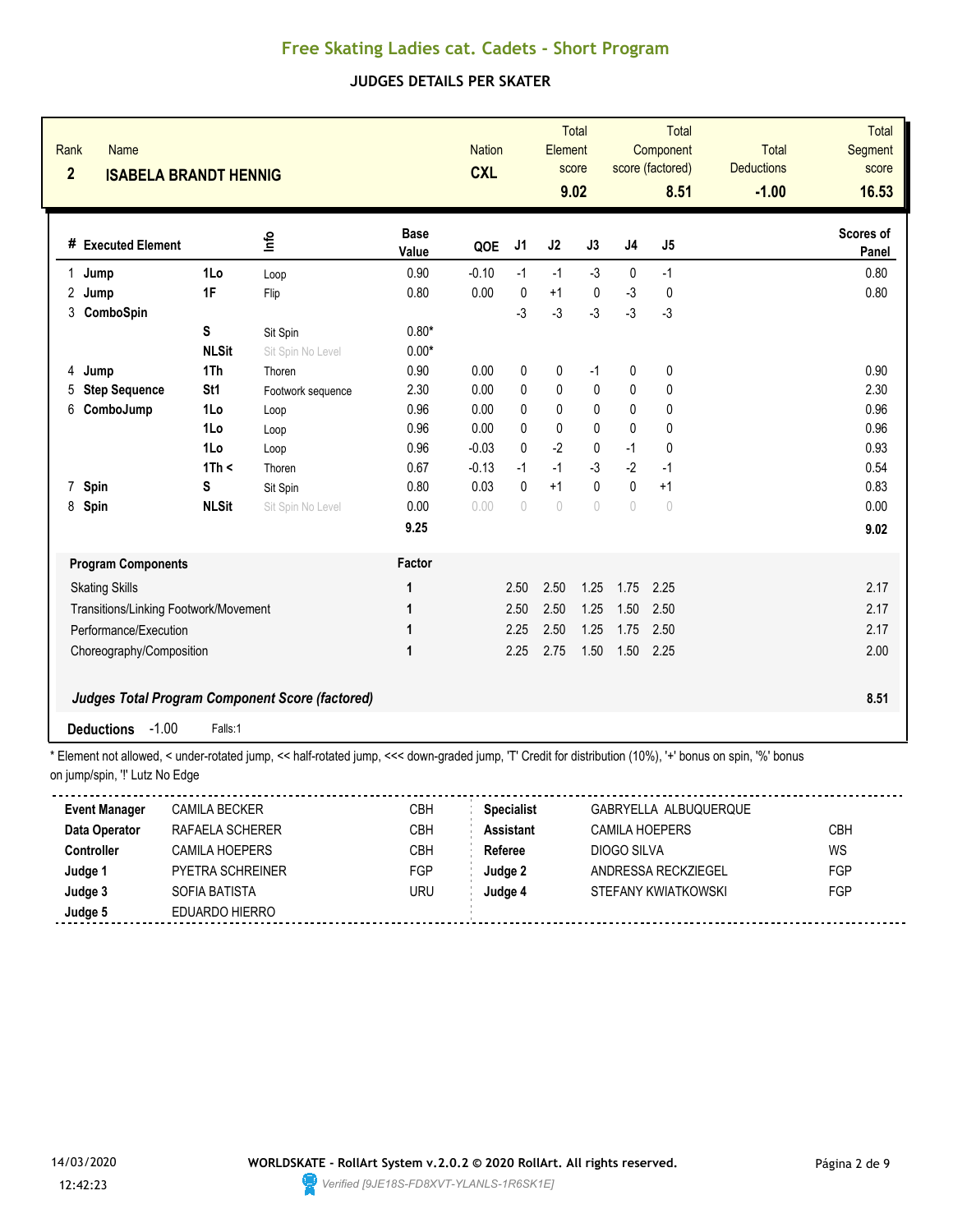### **JUDGES DETAILS PER SKATER**

| Rank<br>$\overline{2}$    | <b>Name</b><br><b>ISABELA BRANDT HENNIG</b> |         |                                                                                                                                                          |                      | <b>Nation</b><br><b>CXL</b> |            | <b>Total</b><br>Element<br>score<br>9.02 |              | <b>Total</b><br>Component<br>score (factored)<br>8.51 |                                  | <b>Total</b><br><b>Deductions</b><br>$-1.00$ | Total<br>Segment<br>score<br>16.53 |
|---------------------------|---------------------------------------------|---------|----------------------------------------------------------------------------------------------------------------------------------------------------------|----------------------|-----------------------------|------------|------------------------------------------|--------------|-------------------------------------------------------|----------------------------------|----------------------------------------------|------------------------------------|
| # Executed Element        |                                             |         | ۴ů                                                                                                                                                       | <b>Base</b><br>Value | QOE                         | J1         | J2                                       | J3           | $\sf J4$                                              | J5                               |                                              | Scores of<br>Panel                 |
| 1<br>Jump                 | 1Lo                                         |         | Loop                                                                                                                                                     | 0.90                 | $-0.10$                     | $-1$       | $-1$                                     | $-3$         | $\mathbf{0}$                                          | $-1$                             |                                              | 0.80                               |
| 2<br>Jump                 | 1F                                          |         | Flip                                                                                                                                                     | 0.80                 | 0.00                        | 0          | $+1$                                     | 0            | $-3$                                                  | $\pmb{0}$                        |                                              | 0.80                               |
| ComboSpin<br>3            |                                             |         |                                                                                                                                                          |                      |                             | $-3$       | $-3$                                     | $-3$         | $-3$                                                  | $-3$                             |                                              |                                    |
|                           | S<br><b>NLSit</b>                           |         | Sit Spin<br>Sit Spin No Level                                                                                                                            | $0.80*$<br>$0.00*$   |                             |            |                                          |              |                                                       |                                  |                                              |                                    |
| 4<br>Jump                 | 1Th                                         |         | Thoren                                                                                                                                                   | 0.90                 | 0.00                        | 0          | 0                                        | $-1$         | 0                                                     | 0                                |                                              | 0.90                               |
| 5<br><b>Step Sequence</b> | St1                                         |         | Footwork sequence                                                                                                                                        | 2.30                 | 0.00                        | 0          | $\pmb{0}$                                | 0            | 0                                                     | $\pmb{0}$                        |                                              | 2.30                               |
| 6<br>ComboJump            | 1Lo                                         |         | Loop                                                                                                                                                     | 0.96                 | 0.00                        | 0          | $\pmb{0}$                                | 0            | 0                                                     | 0                                |                                              | 0.96                               |
|                           | 1Lo                                         |         | Loop                                                                                                                                                     | 0.96                 | 0.00                        | 0          | $\mathbf{0}$                             | $\mathbf{0}$ | 0                                                     | 0                                |                                              | 0.96                               |
|                           | 1Lo                                         |         | Loop                                                                                                                                                     | 0.96                 | $-0.03$                     | 0          | $-2$                                     | 0            | $-1$                                                  | 0                                |                                              | 0.93                               |
|                           | 1Th <                                       |         | Thoren                                                                                                                                                   | 0.67                 | $-0.13$                     | $-1$       | $-1$                                     | $-3$         | $-2$                                                  | $-1$                             |                                              | 0.54                               |
| Spin<br>$\overline{7}$    | S                                           |         | Sit Spin                                                                                                                                                 | 0.80                 | 0.03                        | 0          | $+1$                                     | 0            | $\mathbf{0}$                                          | $+1$                             |                                              | 0.83                               |
| 8<br>Spin                 | <b>NLSit</b>                                |         | Sit Spin No Level                                                                                                                                        | 0.00                 | 0.00                        | $\sqrt{ }$ | $\sqrt{ }$                               | $\bigcap$    | $\bigcirc$                                            | $\begin{array}{c} \n\end{array}$ |                                              | 0.00                               |
|                           |                                             |         |                                                                                                                                                          | 9.25                 |                             |            |                                          |              |                                                       |                                  |                                              | 9.02                               |
| <b>Program Components</b> |                                             |         |                                                                                                                                                          | Factor               |                             |            |                                          |              |                                                       |                                  |                                              |                                    |
| <b>Skating Skills</b>     |                                             |         |                                                                                                                                                          | 1                    |                             | 2.50       | 2.50                                     | 1.25         | 1.75                                                  | 2.25                             |                                              | 2.17                               |
|                           | Transitions/Linking Footwork/Movement       |         |                                                                                                                                                          | 1                    |                             | 2.50       | 2.50                                     | 1.25         | 1.50                                                  | 2.50                             |                                              | 2.17                               |
| Performance/Execution     |                                             |         |                                                                                                                                                          | 1                    |                             | 2.25       | 2.50                                     | 1.25         | 1.75                                                  | 2.50                             |                                              | 2.17                               |
|                           | Choreography/Composition                    |         |                                                                                                                                                          | 1                    |                             | 2.25       | 2.75                                     | 1.50         | 1.50                                                  | 2.25                             |                                              | 2.00                               |
|                           |                                             |         | <b>Judges Total Program Component Score (factored)</b>                                                                                                   |                      |                             |            |                                          |              |                                                       |                                  |                                              | 8.51                               |
| <b>Deductions</b>         | $-1.00$                                     | Falls:1 |                                                                                                                                                          |                      |                             |            |                                          |              |                                                       |                                  |                                              |                                    |
|                           |                                             |         | * Element not allowed, < under-rotated jump, << half-rotated jump, <<< down-graded jump, 'T' Credit for distribution (10%), '+' bonus on spin, '%' bonus |                      |                             |            |                                          |              |                                                       |                                  |                                              |                                    |

on jump/spin, "!' Lutz No Edge

| <b>Event Manager</b> | <b>CAMILA BECKER</b>    | CBH | <b>Specialist</b> | GABRYELLA ALBUQUERQUE |            |
|----------------------|-------------------------|-----|-------------------|-----------------------|------------|
| Data Operator        | RAFAFI A SCHERFR        | CBH | <b>Assistant</b>  | <b>CAMILA HOEPERS</b> | СВН        |
| Controller           | <b>CAMILA HOEPERS</b>   | СВН | Referee           | DIOGO SILVA           | WS         |
| Judge 1              | <b>PYETRA SCHREINER</b> | FGP | Judge 2           | ANDRESSA RECKZIEGEL   | <b>FGP</b> |
| Judge 3              | SOFIA BATISTA           | uru | Judge 4           | STEFANY KWIATKOWSKI   | <b>FGP</b> |
| Judge 5              | EDUARDO HIERRO          |     |                   |                       |            |
|                      |                         |     |                   |                       |            |

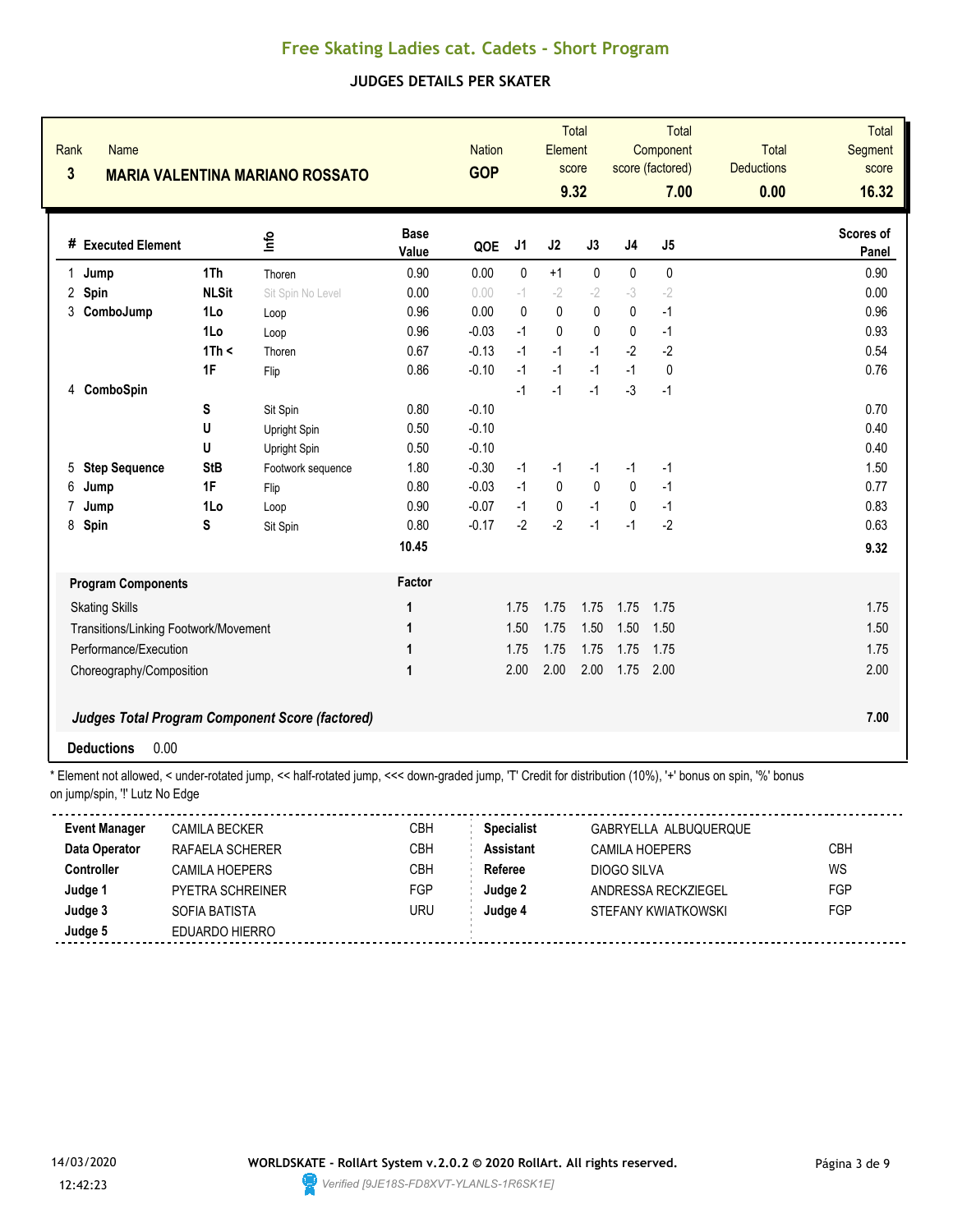### **JUDGES DETAILS PER SKATER**

| Rank<br>$\overline{\mathbf{3}}$ | <b>Name</b>                           |              | <b>MARIA VALENTINA MARIANO ROSSATO</b>                 |                      | <b>Nation</b><br><b>GOP</b> |      | Element      | <b>Total</b><br>score<br>9.32 |                | Total<br>Component<br>score (factored)<br>7.00 | <b>Total</b><br><b>Deductions</b><br>0.00 | <b>Total</b><br>Segment<br>score<br>16.32 |
|---------------------------------|---------------------------------------|--------------|--------------------------------------------------------|----------------------|-----------------------------|------|--------------|-------------------------------|----------------|------------------------------------------------|-------------------------------------------|-------------------------------------------|
|                                 | # Executed Element                    |              | ۴ů                                                     | <b>Base</b><br>Value | QOE                         | J1   | J2           | J3                            | J <sub>4</sub> | J5                                             |                                           | Scores of<br>Panel                        |
| 1                               | Jump                                  | 1Th          | Thoren                                                 | 0.90                 | 0.00                        | 0    | $+1$         | $\mathbf{0}$                  | 0              | 0                                              |                                           | 0.90                                      |
| 2                               | Spin                                  | <b>NLSit</b> | Sit Spin No Level                                      | 0.00                 | 0.00                        | $-1$ | $-2$         | $-2$                          | $-3$           | $-2$                                           |                                           | 0.00                                      |
| 3                               | ComboJump                             | 1Lo          | Loop                                                   | 0.96                 | 0.00                        | 0    | 0            | $\mathbf{0}$                  | $\mathbf{0}$   | $-1$                                           |                                           | 0.96                                      |
|                                 |                                       | 1Lo          | Loop                                                   | 0.96                 | $-0.03$                     | $-1$ | 0            | $\mathbf{0}$                  | $\mathbf{0}$   | $-1$                                           |                                           | 0.93                                      |
|                                 |                                       | 1Th <        | Thoren                                                 | 0.67                 | $-0.13$                     | $-1$ | $-1$         | $-1$                          | $-2$           | $-2$                                           |                                           | 0.54                                      |
|                                 |                                       | 1F           | Flip                                                   | 0.86                 | $-0.10$                     | $-1$ | $-1$         | $-1$                          | $-1$           | 0                                              |                                           | 0.76                                      |
| 4                               | ComboSpin                             |              |                                                        |                      |                             | $-1$ | $-1$         | $-1$                          | $-3$           | $-1$                                           |                                           |                                           |
|                                 |                                       | S            | Sit Spin                                               | 0.80                 | $-0.10$                     |      |              |                               |                |                                                |                                           | 0.70                                      |
|                                 |                                       | U            | Upright Spin                                           | 0.50                 | $-0.10$                     |      |              |                               |                |                                                |                                           | 0.40                                      |
|                                 |                                       | U            | Upright Spin                                           | 0.50                 | $-0.10$                     |      |              |                               |                |                                                |                                           | 0.40                                      |
| 5                               | <b>Step Sequence</b>                  | <b>StB</b>   | Footwork sequence                                      | 1.80                 | $-0.30$                     | $-1$ | $-1$         | $-1$                          | $-1$           | $-1$                                           |                                           | 1.50                                      |
| 6                               | Jump                                  | 1F           | Flip                                                   | 0.80                 | $-0.03$                     | $-1$ | $\pmb{0}$    | $\mathbf{0}$                  | $\mathbf{0}$   | $-1$                                           |                                           | 0.77                                      |
| 7                               | Jump                                  | 1Lo          | Loop                                                   | 0.90                 | $-0.07$                     | $-1$ | $\mathbf{0}$ | $-1$                          | $\mathbf{0}$   | $-1$                                           |                                           | 0.83                                      |
| 8                               | Spin                                  | S            | Sit Spin                                               | 0.80                 | $-0.17$                     | $-2$ | $-2$         | $-1$                          | $-1$           | $-2$                                           |                                           | 0.63                                      |
|                                 |                                       |              |                                                        | 10.45                |                             |      |              |                               |                |                                                |                                           | 9.32                                      |
|                                 | <b>Program Components</b>             |              |                                                        | Factor               |                             |      |              |                               |                |                                                |                                           |                                           |
|                                 | <b>Skating Skills</b>                 |              |                                                        | 1                    |                             | 1.75 | 1.75         | 1.75                          | 1.75           | 1.75                                           |                                           | 1.75                                      |
|                                 | Transitions/Linking Footwork/Movement |              |                                                        | 1                    |                             | 1.50 | 1.75         | 1.50                          | 1.50           | 1.50                                           |                                           | 1.50                                      |
|                                 | Performance/Execution                 |              |                                                        | 1                    |                             | 1.75 | 1.75         | 1.75                          | 1.75           | 1.75                                           |                                           | 1.75                                      |
|                                 | Choreography/Composition              |              |                                                        | 1                    |                             | 2.00 | 2.00         | 2.00                          | 1.75           | 2.00                                           |                                           | 2.00                                      |
|                                 |                                       |              | <b>Judges Total Program Component Score (factored)</b> |                      |                             |      |              |                               |                |                                                |                                           | 7.00                                      |
|                                 | 0.00<br><b>Deductions</b>             |              |                                                        |                      |                             |      |              |                               |                |                                                |                                           |                                           |

| <b>Event Manager</b> | <b>CAMILA BECKER</b> | СВН        | <b>Specialist</b> | GABRYELLA ALBUQUERQUE |            |
|----------------------|----------------------|------------|-------------------|-----------------------|------------|
| Data Operator        | RAFAFI A SCHERFR     | CBH        | <b>Assistant</b>  | CAMILA HOFPERS        | <b>CBH</b> |
| <b>Controller</b>    | CAMILA HOFPFRS       | CBH        | Referee           | DIOGO SILVA           | WS         |
| Judge 1              | PYFTRA SCHREINER     | <b>FGP</b> | Judae 2           | ANDRESSA RECKZIEGEL   | <b>FGP</b> |
| Judge 3              | SOFIA BATISTA        | uru        | Judge 4           | STEFANY KWIATKOWSKI   | <b>FGP</b> |
| Judge 5              | EDUARDO HIERRO       |            |                   |                       |            |
|                      |                      |            |                   |                       |            |

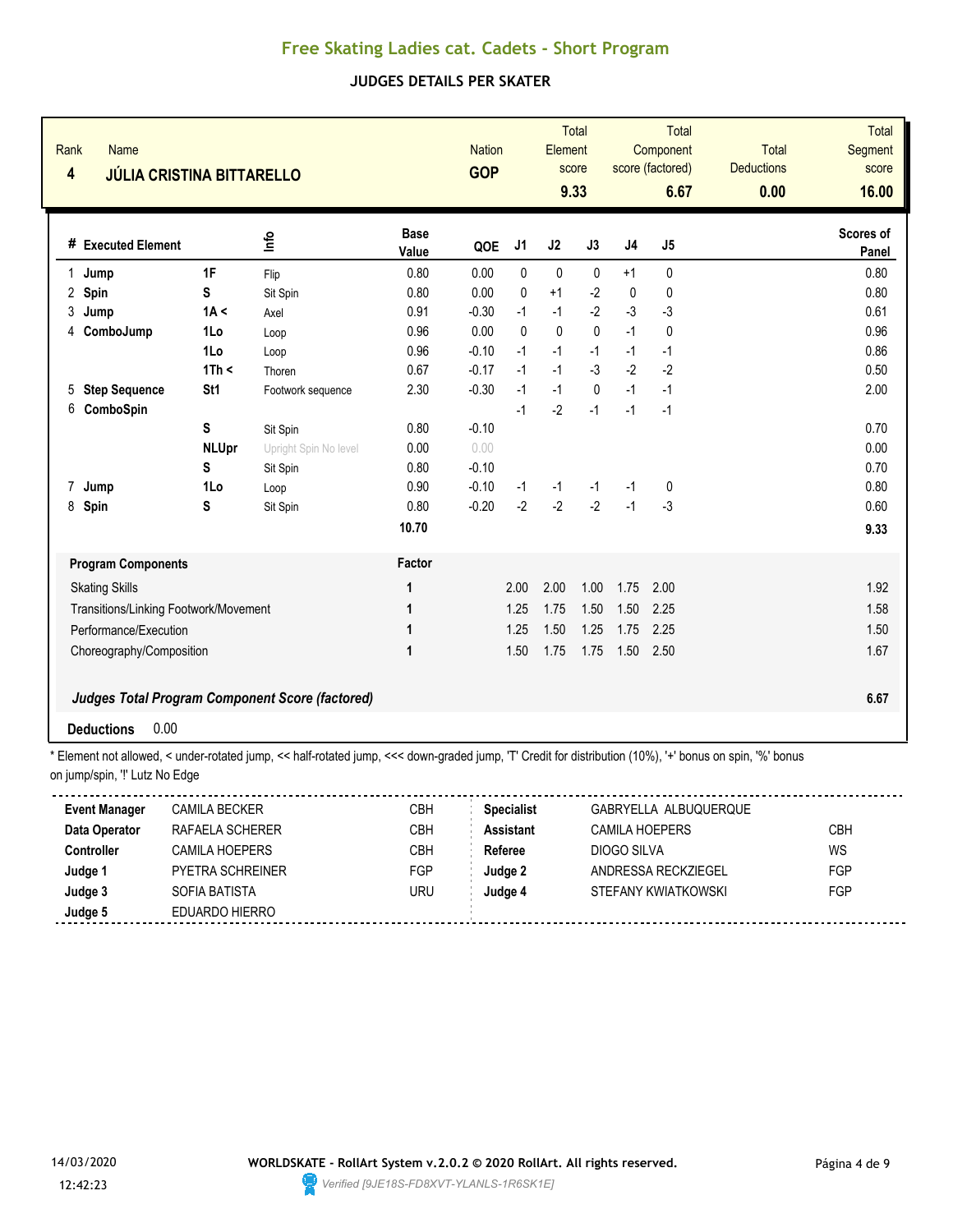### **JUDGES DETAILS PER SKATER**

| Rank<br>4            | <b>Name</b><br><b>JÚLIA CRISTINA BITTARELLO</b> |              | <b>Nation</b><br><b>GOP</b>                            |                      | <b>Total</b><br>Element<br>score<br>9.33 |              |              | <b>Total</b><br>Component<br>score (factored)<br>6.67 | <b>Total</b><br><b>Deductions</b><br>0.00 | <b>Total</b><br>Segment<br>score<br>16.00 |  |                    |
|----------------------|-------------------------------------------------|--------------|--------------------------------------------------------|----------------------|------------------------------------------|--------------|--------------|-------------------------------------------------------|-------------------------------------------|-------------------------------------------|--|--------------------|
|                      | # Executed Element                              |              | <u>lnfo</u>                                            | <b>Base</b><br>Value | QOE                                      | J1           | J2           | J3                                                    | J4                                        | J5                                        |  | Scores of<br>Panel |
| $\mathbf{1}$         | Jump                                            | 1F           | Flip                                                   | 0.80                 | 0.00                                     | $\mathbf{0}$ | $\mathbf{0}$ | $\mathbf 0$                                           | $+1$                                      | 0                                         |  | 0.80               |
| $\mathbf{2}^{\circ}$ | Spin                                            | S            | Sit Spin                                               | 0.80                 | 0.00                                     | $\mathbf{0}$ | $+1$         | $-2$                                                  | 0                                         | $\mathbf 0$                               |  | 0.80               |
| 3                    | Jump                                            | 1A <         | Axel                                                   | 0.91                 | $-0.30$                                  | $-1$         | $-1$         | $-2$                                                  | $-3$                                      | $-3$                                      |  | 0.61               |
| 4                    | ComboJump                                       | 1Lo          | Loop                                                   | 0.96                 | 0.00                                     | $\Omega$     | $\Omega$     | $\Omega$                                              | $-1$                                      | $\mathbf 0$                               |  | 0.96               |
|                      |                                                 | 1Lo          | Loop                                                   | 0.96                 | $-0.10$                                  | $-1$         | $-1$         | $-1$                                                  | $-1$                                      | $-1$                                      |  | 0.86               |
|                      |                                                 | 1Th <        | Thoren                                                 | 0.67                 | $-0.17$                                  | $-1$         | $-1$         | $-3$                                                  | $-2$                                      | $-2$                                      |  | 0.50               |
| 5                    | <b>Step Sequence</b>                            | St1          | Footwork sequence                                      | 2.30                 | $-0.30$                                  | $-1$         | $-1$         | $\pmb{0}$                                             | $-1$                                      | $-1$                                      |  | 2.00               |
| 6                    | ComboSpin                                       |              |                                                        |                      |                                          | $-1$         | $-2$         | $-1$                                                  | $-1$                                      | $-1$                                      |  |                    |
|                      |                                                 | S            | Sit Spin                                               | 0.80                 | $-0.10$                                  |              |              |                                                       |                                           |                                           |  | 0.70               |
|                      |                                                 | <b>NLUpr</b> | Upright Spin No level                                  | 0.00                 | 0.00                                     |              |              |                                                       |                                           |                                           |  | 0.00               |
|                      |                                                 | S            | Sit Spin                                               | 0.80                 | $-0.10$                                  |              |              |                                                       |                                           |                                           |  | 0.70               |
| 7                    | Jump                                            | 1Lo          | Loop                                                   | 0.90                 | $-0.10$                                  | $-1$         | $-1$         | $-1$                                                  | $-1$                                      | 0                                         |  | 0.80               |
| 8                    | Spin                                            | S            | Sit Spin                                               | 0.80                 | $-0.20$                                  | $-2$         | $-2$         | $-2$                                                  | $-1$                                      | $-3$                                      |  | 0.60               |
|                      |                                                 |              |                                                        | 10.70                |                                          |              |              |                                                       |                                           |                                           |  | 9.33               |
|                      | <b>Program Components</b>                       |              |                                                        | Factor               |                                          |              |              |                                                       |                                           |                                           |  |                    |
|                      | <b>Skating Skills</b>                           |              |                                                        | 1                    |                                          | 2.00         | 2.00         | 1.00                                                  | 1.75                                      | 2.00                                      |  | 1.92               |
|                      | Transitions/Linking Footwork/Movement           |              |                                                        | 1                    |                                          | 1.25         | 1.75         | 1.50                                                  | 1.50                                      | 2.25                                      |  | 1.58               |
|                      | Performance/Execution                           |              |                                                        | 1                    |                                          | 1.25         | 1.50         | 1.25                                                  | 1.75                                      | 2.25                                      |  | 1.50               |
|                      | Choreography/Composition                        |              |                                                        | 1                    |                                          | 1.50         | 1.75         | 1.75                                                  | 1.50                                      | 2.50                                      |  | 1.67               |
|                      |                                                 |              | <b>Judges Total Program Component Score (factored)</b> |                      |                                          |              |              |                                                       |                                           |                                           |  | 6.67               |
|                      | 0.00<br><b>Deductions</b>                       |              |                                                        |                      |                                          |              |              |                                                       |                                           |                                           |  |                    |

| <b>Event Manager</b> | <b>CAMILA BECKER</b>    | CBH        | <b>Specialist</b> | GABRYELLA ALBUQUERQUE |            |
|----------------------|-------------------------|------------|-------------------|-----------------------|------------|
| Data Operator        | RAFAELA SCHERER         | <b>CBH</b> | <b>Assistant</b>  | <b>CAMILA HOEPERS</b> | <b>CBH</b> |
| <b>Controller</b>    | <b>CAMILA HOEPERS</b>   | СВН        | Referee           | DIOGO SILVA           | WS         |
| Judge 1              | <b>PYETRA SCHREINER</b> | <b>FGP</b> | Judge 2           | ANDRESSA RECKZIEGEL   | FGP        |
| Judge 3              | SOFIA BATISTA           | URU        | Judge 4           | STEFANY KWIATKOWSKI   | FGP        |
| Judge 5              | EDUARDO HIERRO          |            |                   |                       |            |
|                      |                         |            |                   |                       |            |

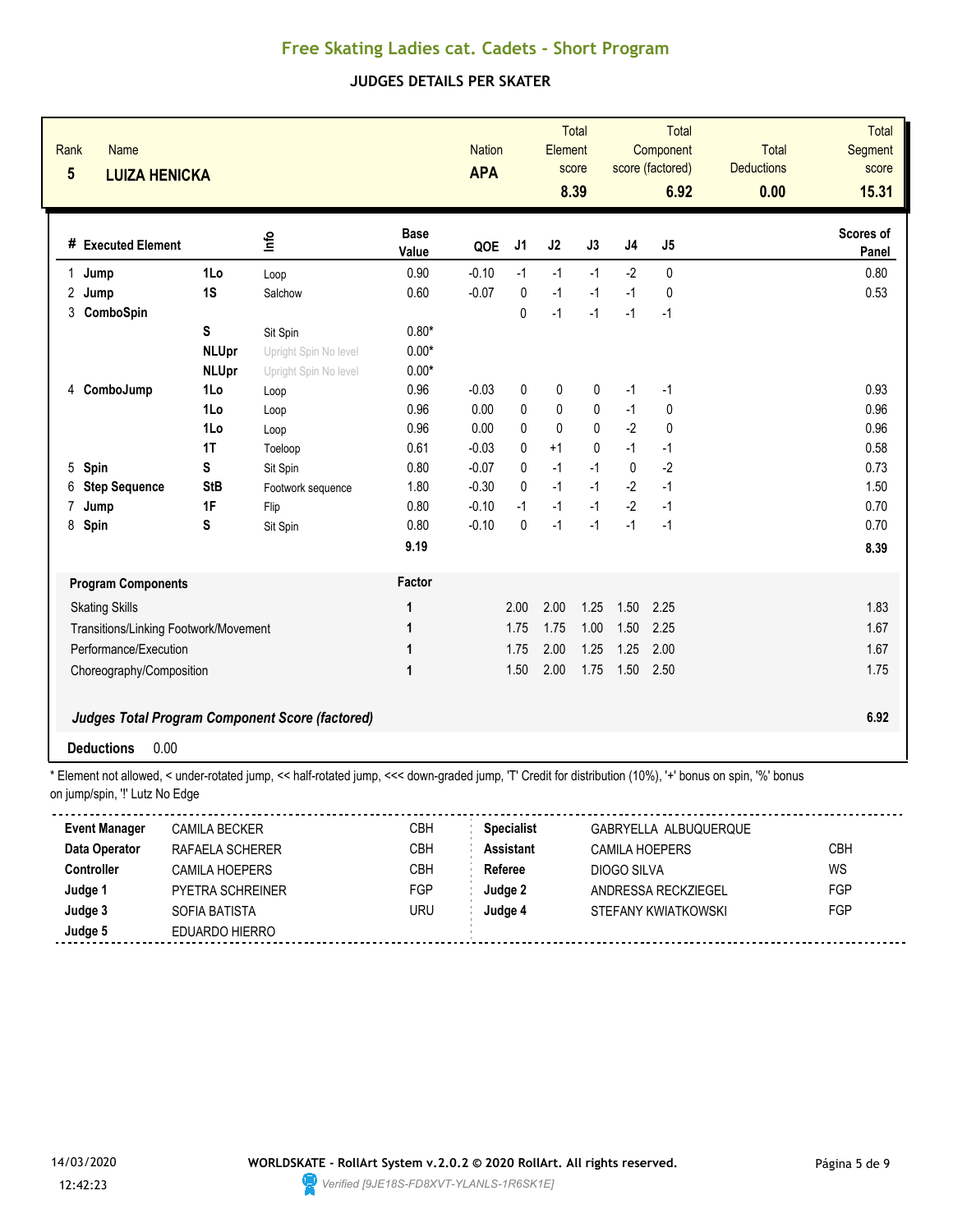### **JUDGES DETAILS PER SKATER**

| Rank<br>$5\phantom{.0}$ | <b>Name</b><br><b>LUIZA HENICKA</b>   |              |                                                                  |                      | <b>Nation</b><br><b>APA</b> |                | Element | <b>Total</b><br>score<br>8.39 |                | Total<br>Component<br>score (factored)<br>6.92                         | Total<br><b>Deductions</b><br>0.00 | Total<br><b>Segment</b><br>score<br>15.31 |
|-------------------------|---------------------------------------|--------------|------------------------------------------------------------------|----------------------|-----------------------------|----------------|---------|-------------------------------|----------------|------------------------------------------------------------------------|------------------------------------|-------------------------------------------|
|                         | # Executed Element                    |              | ١nfo                                                             | <b>Base</b><br>Value | QOE                         | J <sub>1</sub> | J2      | J3                            | J <sub>4</sub> | J5                                                                     |                                    | Scores of<br>Panel                        |
| 1                       | Jump                                  | 1Lo          | Loop                                                             | 0.90                 | $-0.10$                     | $-1$           | $-1$    | $-1$                          | $-2$           | $\pmb{0}$                                                              |                                    | 0.80                                      |
| 2                       | Jump                                  | 1S           | Salchow                                                          | 0.60                 | $-0.07$                     | $\mathbf 0$    | $-1$    | $-1$                          | $-1$           | 0                                                                      |                                    | 0.53                                      |
|                         | 3 ComboSpin                           |              |                                                                  |                      |                             | $\mathbf{0}$   | $-1$    | $-1$                          | $-1$           | $-1$                                                                   |                                    |                                           |
|                         |                                       | S            | Sit Spin                                                         | $0.80*$              |                             |                |         |                               |                |                                                                        |                                    |                                           |
|                         |                                       | <b>NLUpr</b> | Upright Spin No level                                            | $0.00*$              |                             |                |         |                               |                |                                                                        |                                    |                                           |
|                         |                                       | <b>NLUpr</b> | Upright Spin No level                                            | $0.00*$              |                             |                |         |                               |                |                                                                        |                                    |                                           |
| 4                       | ComboJump                             | 1Lo          | Loop                                                             | 0.96                 | $-0.03$                     | $\mathbf{0}$   | 0       | 0                             | $-1$           | $-1$                                                                   |                                    | 0.93                                      |
|                         |                                       | 1Lo          | Loop                                                             | 0.96                 | 0.00                        | 0              | 0       | $\mathbf{0}$                  | $-1$           | $\mathbf{0}$                                                           |                                    | 0.96                                      |
|                         |                                       | 1Lo          | Loop                                                             | 0.96                 | 0.00                        | 0              | 0       | 0                             | $-2$           | $\mathbf{0}$                                                           |                                    | 0.96                                      |
|                         |                                       | 1T           | Toeloop                                                          | 0.61                 | $-0.03$                     | $\mathbf 0$    | $+1$    | 0                             | $-1$           | $-1$                                                                   |                                    | 0.58                                      |
| 5                       | Spin                                  | S            | Sit Spin                                                         | 0.80                 | $-0.07$                     | $\mathbf{0}$   | $-1$    | $-1$                          | 0              | $-2$                                                                   |                                    | 0.73                                      |
| 6                       | <b>Step Sequence</b>                  | <b>StB</b>   | Footwork sequence                                                | 1.80                 | $-0.30$                     | $\mathbf{0}$   | $-1$    | $-1$                          | $-2$           | $-1$                                                                   |                                    | 1.50                                      |
| 7                       | Jump                                  | 1F           | Flip                                                             | 0.80                 | $-0.10$                     | $-1$           | $-1$    | $-1$                          | $-2$           | $-1$                                                                   |                                    | 0.70                                      |
| 8                       | Spin                                  | S            | Sit Spin                                                         | 0.80                 | $-0.10$                     | $\mathbf{0}$   | $-1$    | $-1$                          | $-1$           | $-1$                                                                   |                                    | 0.70                                      |
|                         |                                       |              |                                                                  | 9.19                 |                             |                |         |                               |                |                                                                        |                                    | 8.39                                      |
|                         | <b>Program Components</b>             |              |                                                                  | Factor               |                             |                |         |                               |                |                                                                        |                                    |                                           |
|                         | <b>Skating Skills</b>                 |              |                                                                  | 1                    |                             | 2.00           | 2.00    | 1.25                          | 1.50           | 2.25                                                                   |                                    | 1.83                                      |
|                         | Transitions/Linking Footwork/Movement |              |                                                                  | 1                    |                             | 1.75           | 1.75    | 1.00                          | 1.50           | 2.25                                                                   |                                    | 1.67                                      |
|                         | Performance/Execution                 |              |                                                                  | 1                    |                             | 1.75           | 2.00    | 1.25                          | 1.25           | 2.00                                                                   |                                    | 1.67                                      |
|                         | Choreography/Composition              |              |                                                                  | 1                    |                             | 1.50           | 2.00    | 1.75                          | 1.50           | 2.50                                                                   |                                    | 1.75                                      |
|                         |                                       |              | Judges Total Program Component Score (factored)                  |                      |                             |                |         |                               |                |                                                                        |                                    | 6.92                                      |
|                         | 0.00<br><b>Deductions</b>             |              | ومرزئ المستقطعين فالمرواح فراح والمسرورة المستقطعين والمسرور فير | المستنجلة الجاحرات   | المحمدات المتمالك لمانا     |                |         |                               |                | $TT1$ $O_{100}$ and the contradict of $(400/3)$ and $(1.1 \text{ kg})$ | $1 - 10/1$                         |                                           |

| <b>Event Manager</b> | <b>CAMILA BECKER</b> | СВН | <b>Specialist</b> | GABRYELLA ALBUQUERQUE |            |
|----------------------|----------------------|-----|-------------------|-----------------------|------------|
| Data Operator        | RAFAFI A SCHERFR     | CBH | <b>Assistant</b>  | CAMILA HOFPERS        | <b>CBH</b> |
| <b>Controller</b>    | CAMILA HOFPFRS       | CBH | Referee           | DIOGO SILVA           | WS         |
| Judge 1              | PYFTRA SCHREINER     | FGP | Judae 2           | ANDRESSA RECKZIEGEL   | <b>FGP</b> |
| Judge 3              | SOFIA BATISTA        | uru | Judge 4           | STEFANY KWIATKOWSKI   | <b>FGP</b> |
| Judge 5              | EDUARDO HIERRO       |     |                   |                       |            |
|                      |                      |     |                   |                       |            |

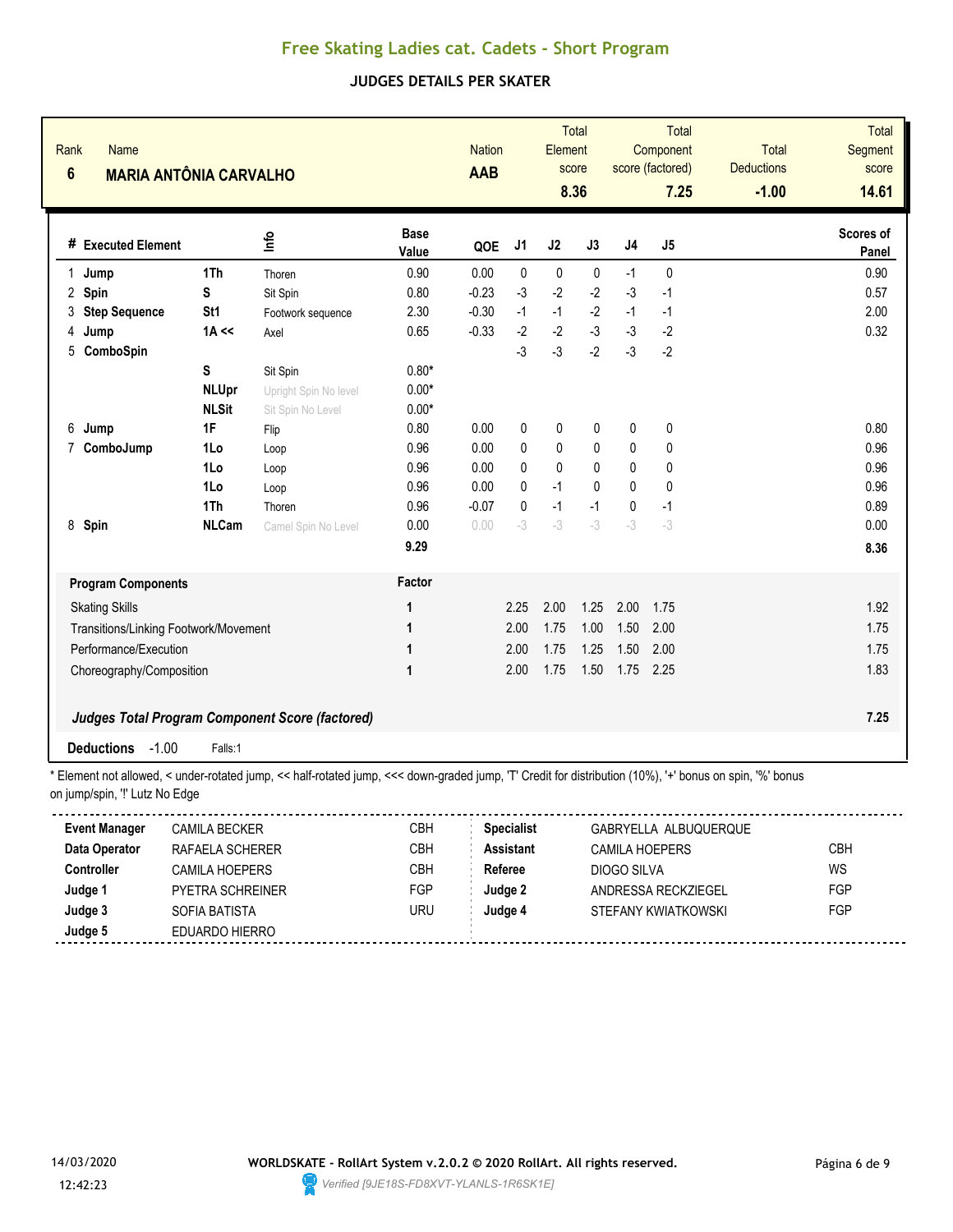### **JUDGES DETAILS PER SKATER**

| Rank<br>$6\phantom{a}$   | <b>Name</b><br><b>MARIA ANTÔNIA CARVALHO</b> |                                                                                     |                                                                                                                         | <b>Nation</b><br>AAB                                                                  |                                                 | <b>Total</b><br>Element<br>score<br>8.36                       |                                                          |                                                                  | Total<br>Component<br>score (factored)<br>7.25      | <b>Total</b><br><b>Deductions</b><br>$-1.00$ | Total<br><b>Segment</b><br>score<br>14.61 |                                                      |
|--------------------------|----------------------------------------------|-------------------------------------------------------------------------------------|-------------------------------------------------------------------------------------------------------------------------|---------------------------------------------------------------------------------------|-------------------------------------------------|----------------------------------------------------------------|----------------------------------------------------------|------------------------------------------------------------------|-----------------------------------------------------|----------------------------------------------|-------------------------------------------|------------------------------------------------------|
|                          | # Executed Element                           |                                                                                     | ۴ů                                                                                                                      | <b>Base</b><br>Value                                                                  | QOE                                             | J <sub>1</sub>                                                 | J2                                                       | J3                                                               | J <sub>4</sub>                                      | J5                                           |                                           | Scores of<br>Panel                                   |
| 1                        | Jump                                         | 1Th                                                                                 | Thoren                                                                                                                  | 0.90                                                                                  | 0.00                                            | $\mathbf{0}$                                                   | $\mathbf 0$                                              | $\mathbf{0}$                                                     | $-1$                                                | $\pmb{0}$                                    |                                           | 0.90                                                 |
| $\mathbf{2}$             | Spin                                         | S                                                                                   | Sit Spin                                                                                                                | 0.80                                                                                  | $-0.23$                                         | $-3$                                                           | $-2$                                                     | $-2$                                                             | $-3$                                                | $-1$                                         |                                           | 0.57                                                 |
| 3                        | <b>Step Sequence</b>                         | St <sub>1</sub>                                                                     | Footwork sequence                                                                                                       | 2.30                                                                                  | $-0.30$                                         | $-1$                                                           | $-1$                                                     | $-2$                                                             | $-1$                                                | $-1$                                         |                                           | 2.00                                                 |
| 4                        | Jump                                         | $1A \ll$                                                                            | Axel                                                                                                                    | 0.65                                                                                  | $-0.33$                                         | $-2$                                                           | $-2$                                                     | $-3$                                                             | $-3$                                                | $-2$                                         |                                           | 0.32                                                 |
| 5                        | ComboSpin                                    |                                                                                     |                                                                                                                         |                                                                                       |                                                 | $-3$                                                           | $-3$                                                     | $-2$                                                             | $-3$                                                | $-2$                                         |                                           |                                                      |
| 6<br>$\overline{7}$<br>8 | Jump<br>ComboJump<br>Spin                    | S<br><b>NLUpr</b><br><b>NLSit</b><br>1F<br>1Lo<br>1Lo<br>1Lo<br>1Th<br><b>NLCam</b> | Sit Spin<br>Upright Spin No level<br>Sit Spin No Level<br>Flip<br>Loop<br>Loop<br>Loop<br>Thoren<br>Camel Spin No Level | $0.80*$<br>$0.00*$<br>$0.00*$<br>0.80<br>0.96<br>0.96<br>0.96<br>0.96<br>0.00<br>9.29 | 0.00<br>0.00<br>0.00<br>0.00<br>$-0.07$<br>0.00 | 0<br>0<br>$\mathbf{0}$<br>$\mathbf{0}$<br>$\mathbf{0}$<br>$-3$ | 0<br>$\mathbf 0$<br>$\mathbf{0}$<br>$-1$<br>$-1$<br>$-3$ | 0<br>$\mathbf 0$<br>$\mathbf{0}$<br>$\mathbf{0}$<br>$-1$<br>$-3$ | 0<br>0<br>$\mathbf{0}$<br>0<br>$\mathbf{0}$<br>$-3$ | 0<br>$\mathbf 0$<br>0<br>0<br>$-1$<br>$-3$   |                                           | 0.80<br>0.96<br>0.96<br>0.96<br>0.89<br>0.00<br>8.36 |
|                          | <b>Program Components</b>                    |                                                                                     |                                                                                                                         | Factor                                                                                |                                                 |                                                                |                                                          |                                                                  |                                                     |                                              |                                           |                                                      |
|                          | <b>Skating Skills</b>                        |                                                                                     |                                                                                                                         | 1                                                                                     |                                                 | 2.25                                                           | 2.00                                                     | 1.25                                                             | 2.00                                                | 1.75                                         |                                           | 1.92                                                 |
|                          | Transitions/Linking Footwork/Movement        |                                                                                     |                                                                                                                         | 1                                                                                     |                                                 | 2.00                                                           | 1.75                                                     | 1.00                                                             | 1.50                                                | 2.00                                         |                                           | 1.75                                                 |
|                          | Performance/Execution                        |                                                                                     |                                                                                                                         | 1                                                                                     |                                                 | 2.00                                                           | 1.75                                                     | 1.25                                                             | 1.50                                                | 2.00                                         |                                           | 1.75                                                 |
|                          | Choreography/Composition                     |                                                                                     |                                                                                                                         | 1                                                                                     |                                                 | 2.00                                                           | 1.75                                                     | 1.50                                                             | 1.75                                                | 2.25                                         |                                           | 1.83                                                 |
|                          |                                              |                                                                                     | Judges Total Program Component Score (factored)                                                                         |                                                                                       |                                                 |                                                                |                                                          |                                                                  |                                                     |                                              |                                           | 7.25                                                 |
|                          | <b>Deductions</b><br>$-1.00$                 | Falls:1                                                                             |                                                                                                                         |                                                                                       |                                                 |                                                                |                                                          |                                                                  |                                                     |                                              |                                           |                                                      |

| <b>Event Manager</b> | <b>CAMILA BECKER</b> | СВН | <b>Specialist</b> | GABRYELLA ALBUQUERQUE |            |
|----------------------|----------------------|-----|-------------------|-----------------------|------------|
| Data Operator        | RAFAFI A SCHERFR     | CBH | <b>Assistant</b>  | CAMILA HOFPERS        | <b>CBH</b> |
| <b>Controller</b>    | CAMILA HOFPFRS       | CBH | Referee           | DIOGO SILVA           | WS         |
| Judge 1              | PYFTRA SCHREINER     | FGP | Judae 2           | ANDRESSA RECKZIEGEL   | <b>FGP</b> |
| Judge 3              | SOFIA BATISTA        | uru | Judge 4           | STEFANY KWIATKOWSKI   | <b>FGP</b> |
| Judge 5              | EDUARDO HIERRO       |     |                   |                       |            |
|                      |                      |     |                   |                       |            |

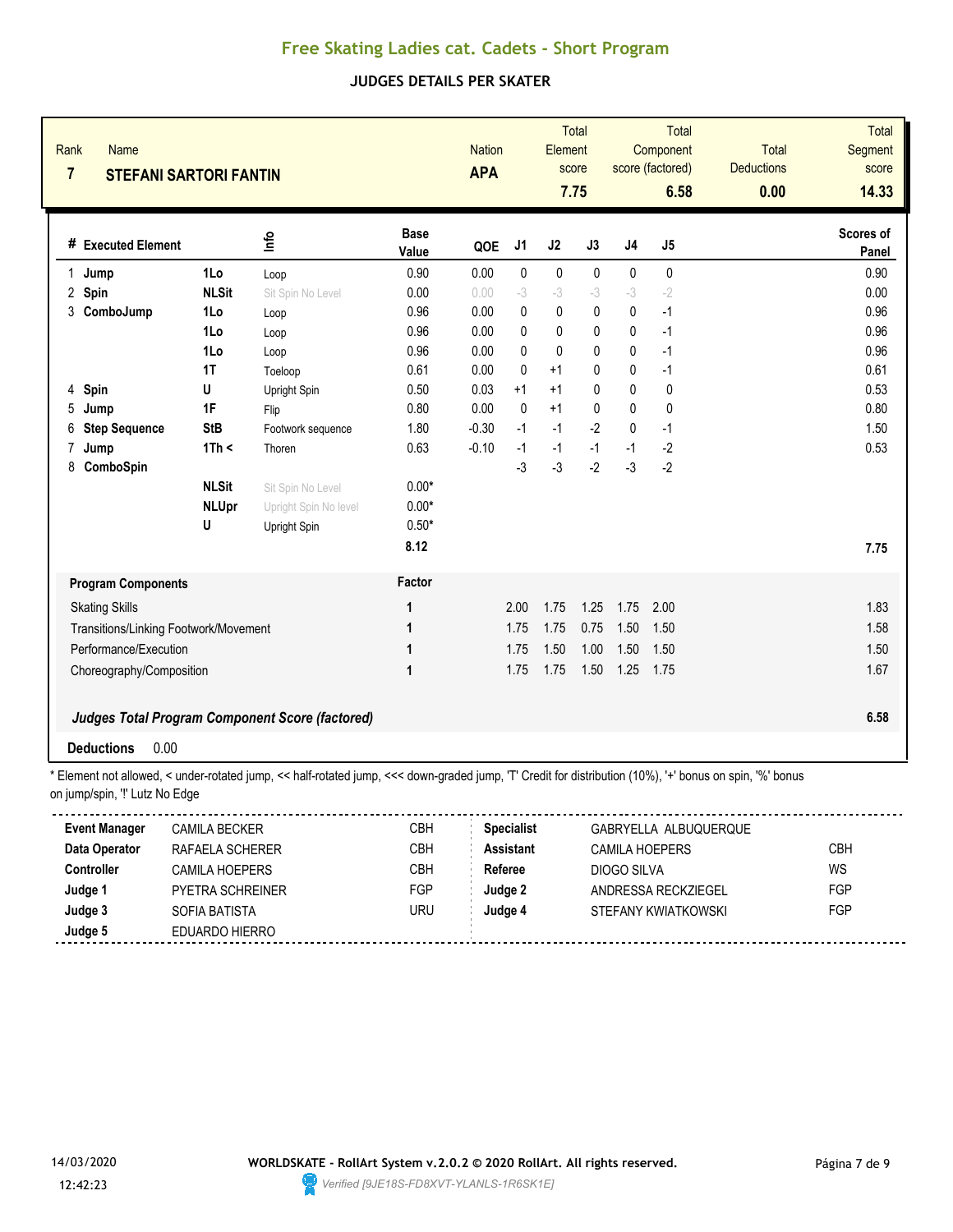### **JUDGES DETAILS PER SKATER**

| Rank<br>$\overline{7}$ | <b>Name</b><br><b>STEFANI SARTORI FANTIN</b> |                                   |                                                            |                               | <b>Nation</b><br><b>APA</b>                                                                            |              | Element      | <b>Total</b><br>score<br>7.75 |                | Total<br>Component<br>score (factored)<br>6.58 | <b>Total</b><br><b>Deductions</b><br>0.00 | <b>Total</b><br>Segment<br>score<br>14.33 |
|------------------------|----------------------------------------------|-----------------------------------|------------------------------------------------------------|-------------------------------|--------------------------------------------------------------------------------------------------------|--------------|--------------|-------------------------------|----------------|------------------------------------------------|-------------------------------------------|-------------------------------------------|
|                        | # Executed Element                           |                                   | ۴ů                                                         | <b>Base</b><br>Value          | QOE                                                                                                    | J1           | J2           | J3                            | J <sub>4</sub> | J5                                             |                                           | Scores of<br>Panel                        |
| 1                      | Jump                                         | 1Lo                               | Loop                                                       | 0.90                          | 0.00                                                                                                   | $\pmb{0}$    | $\pmb{0}$    | $\pmb{0}$                     | 0              | $\pmb{0}$                                      |                                           | 0.90                                      |
|                        | 2 Spin                                       | <b>NLSit</b>                      | Sit Spin No Level                                          | 0.00                          | 0.00                                                                                                   | $-3$         | $-3$         | $-3$                          | $-3$           | $-2$                                           |                                           | 0.00                                      |
| 3                      | ComboJump                                    | 1Lo                               | Loop                                                       | 0.96                          | 0.00                                                                                                   | 0            | 0            | $\mathbf 0$                   | 0              | $-1$                                           |                                           | 0.96                                      |
|                        |                                              | 1Lo                               | Loop                                                       | 0.96                          | 0.00                                                                                                   | 0            | $\mathbf{0}$ | $\mathbf 0$                   | 0              | $-1$                                           |                                           | 0.96                                      |
|                        |                                              | 1Lo                               | Loop                                                       | 0.96                          | 0.00                                                                                                   | $\Omega$     | $\mathbf{0}$ | 0                             | 0              | $-1$                                           |                                           | 0.96                                      |
|                        |                                              | 1T                                | Toeloop                                                    | 0.61                          | 0.00                                                                                                   | $\mathbf{0}$ | $+1$         | $\pmb{0}$                     | $\mathbf{0}$   | $-1$                                           |                                           | 0.61                                      |
| 4                      | Spin                                         | U                                 | Upright Spin                                               | 0.50                          | 0.03                                                                                                   | $+1$         | $+1$         | 0                             | $\mathbf{0}$   | $\mathbf 0$                                    |                                           | 0.53                                      |
| 5                      | Jump                                         | 1F                                | Flip                                                       | 0.80                          | 0.00                                                                                                   | $\mathbf{0}$ | $+1$         | $\mathbf{0}$                  | $\Omega$       | $\mathbf 0$                                    |                                           | 0.80                                      |
| 6                      | <b>Step Sequence</b>                         | <b>StB</b>                        | Footwork sequence                                          | 1.80                          | $-0.30$                                                                                                | $-1$         | $-1$         | $-2$                          | $\mathbf{0}$   | $-1$                                           |                                           | 1.50                                      |
| 7                      | Jump                                         | 1Th <                             | Thoren                                                     | 0.63                          | $-0.10$                                                                                                | $-1$         | $-1$         | $-1$                          | $-1$           | $-2$                                           |                                           | 0.53                                      |
| 8                      | ComboSpin                                    | <b>NLSit</b><br><b>NLUpr</b><br>U | Sit Spin No Level<br>Upright Spin No level<br>Upright Spin | $0.00*$<br>$0.00*$<br>$0.50*$ |                                                                                                        | $-3$         | $-3$         | $-2$                          | $-3$           | $-2$                                           |                                           |                                           |
|                        |                                              |                                   |                                                            | 8.12                          |                                                                                                        |              |              |                               |                |                                                |                                           | 7.75                                      |
|                        | <b>Program Components</b>                    |                                   |                                                            | Factor                        |                                                                                                        |              |              |                               |                |                                                |                                           |                                           |
|                        | <b>Skating Skills</b>                        |                                   |                                                            | 1                             |                                                                                                        | 2.00         | 1.75         | 1.25                          | 1.75           | 2.00                                           |                                           | 1.83                                      |
|                        | Transitions/Linking Footwork/Movement        |                                   |                                                            | 1                             |                                                                                                        | 1.75         | 1.75         | 0.75                          | 1.50           | 1.50                                           |                                           | 1.58                                      |
|                        | Performance/Execution                        |                                   |                                                            | 1                             |                                                                                                        | 1.75         | 1.50         | 1.00                          | 1.50           | 1.50                                           |                                           | 1.50                                      |
|                        | Choreography/Composition                     |                                   |                                                            | 1                             |                                                                                                        | 1.75         | 1.75         | 1.50                          | 1.25           | 1.75                                           |                                           | 1.67                                      |
|                        |                                              |                                   | <b>Judges Total Program Component Score (factored)</b>     |                               |                                                                                                        |              |              |                               |                |                                                |                                           | 6.58                                      |
|                        | 0.00<br><b>Deductions</b>                    |                                   | ومرزئ المستلفظ فالمسارح فالمسروة المستشفون وسامس والمراجع  | المستنجلة الجاجراجا           | $\epsilon$ and and in concern that $\Omega$ are all the conditional definitions (4.00/ ). It is become |              |              |                               |                |                                                | $1 - 10/1$                                |                                           |

| <b>Event Manager</b> | CAMILA BECKER           | СВН | <b>Specialist</b> | GABRYELLA ALBUQUERQUE |            |
|----------------------|-------------------------|-----|-------------------|-----------------------|------------|
| Data Operator        | RAFAELA SCHERER         | CBH | <b>Assistant</b>  | CAMILA HOFPERS        | CBH        |
| <b>Controller</b>    | <b>CAMILA HOEPERS</b>   | CBH | Referee           | DIOGO SILVA           | WS         |
| Judge 1              | <b>PYETRA SCHREINER</b> | FGP | Judae 2           | ANDRESSA RECKZIEGEL   | FGP        |
| Judge 3              | SOFIA BATISTA           | uru | Judge 4           | STEFANY KWIATKOWSKI   | <b>FGP</b> |
| Judge 5              | EDUARDO HIERRO          |     |                   |                       |            |
|                      |                         |     |                   |                       |            |

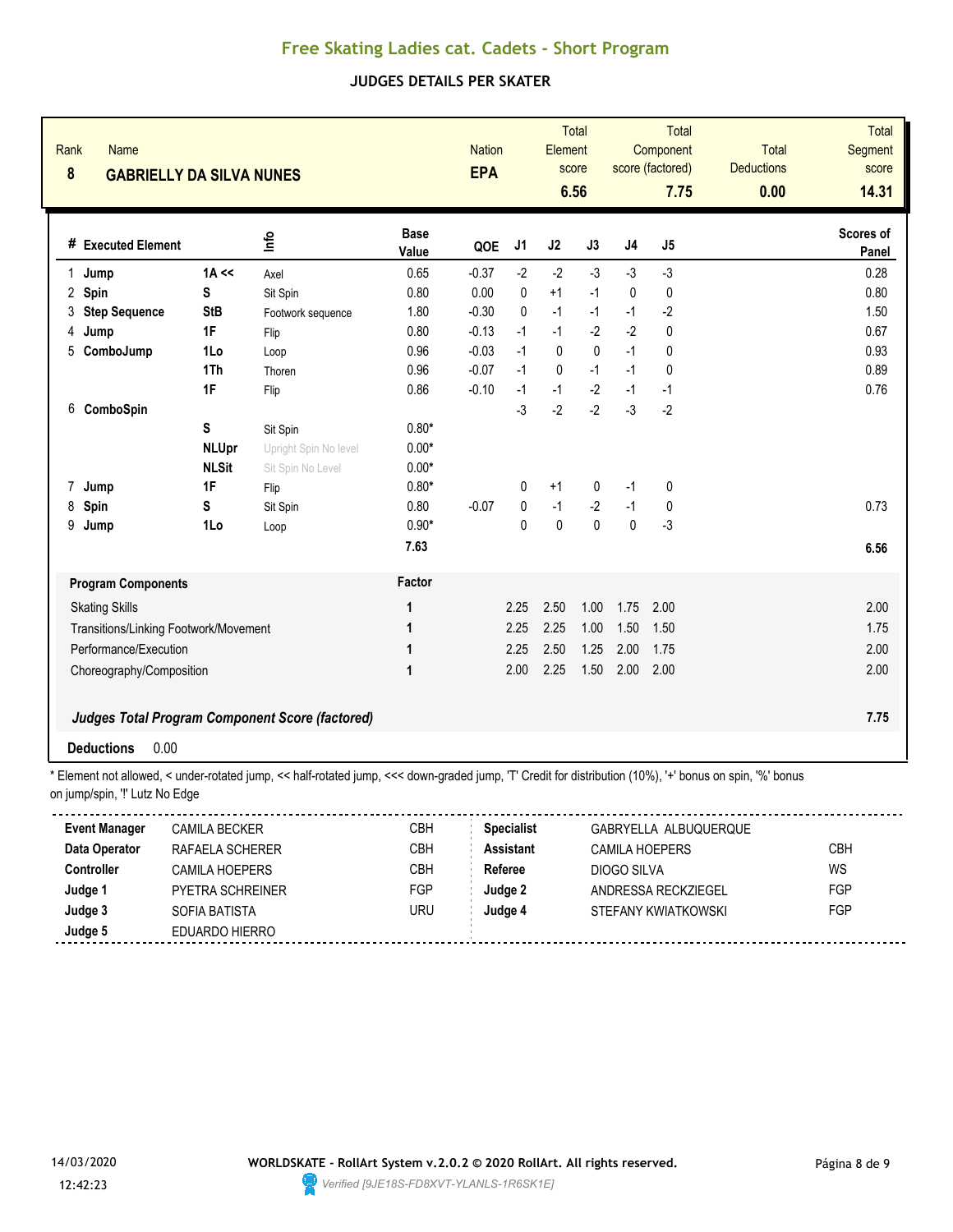### **JUDGES DETAILS PER SKATER**

| Rank<br>8        | <b>Name</b><br><b>GABRIELLY DA SILVA NUNES</b> |                                                     |                                                                                                        |                                                                     | <b>Nation</b><br><b>EPA</b> |                            | <b>Total</b><br>Element<br>score<br>6.56 |                               |                                      | Total<br>Component<br>score (factored)<br>7.75                                                    | <b>Total</b><br><b>Deductions</b><br>0.00 | <b>Total</b><br>Segment<br>score<br>14.31 |
|------------------|------------------------------------------------|-----------------------------------------------------|--------------------------------------------------------------------------------------------------------|---------------------------------------------------------------------|-----------------------------|----------------------------|------------------------------------------|-------------------------------|--------------------------------------|---------------------------------------------------------------------------------------------------|-------------------------------------------|-------------------------------------------|
|                  | # Executed Element                             |                                                     | Info                                                                                                   | <b>Base</b><br>Value                                                | QOE                         | J <sub>1</sub>             | J2                                       | J3                            | J <sub>4</sub>                       | J <sub>5</sub>                                                                                    |                                           | Scores of<br>Panel                        |
| 1                | Jump                                           | $1A \ll$                                            | Axel                                                                                                   | 0.65                                                                | $-0.37$                     | $-2$                       | $-2$                                     | $-3$                          | $-3$                                 | $-3$                                                                                              |                                           | 0.28                                      |
| $2^{\circ}$      | Spin                                           | S                                                   | Sit Spin                                                                                               | 0.80                                                                | 0.00                        | 0                          | $+1$                                     | $-1$                          | 0                                    | 0                                                                                                 |                                           | 0.80                                      |
| 3                | <b>Step Sequence</b>                           | <b>StB</b>                                          | Footwork sequence                                                                                      | 1.80                                                                | $-0.30$                     | $\mathbf{0}$               | $-1$                                     | $-1$                          | $-1$                                 | $-2$                                                                                              |                                           | 1.50                                      |
| 4                | Jump                                           | 1F                                                  | Flip                                                                                                   | 0.80                                                                | $-0.13$                     | $-1$                       | $-1$                                     | $-2$                          | $-2$                                 | 0                                                                                                 |                                           | 0.67                                      |
| 5                | ComboJump                                      | 1Lo                                                 | Loop                                                                                                   | 0.96                                                                | $-0.03$                     | $-1$                       | $\mathbf 0$                              | $\mathbf 0$                   | $-1$                                 | 0                                                                                                 |                                           | 0.93                                      |
|                  |                                                | 1Th                                                 | Thoren                                                                                                 | 0.96                                                                | $-0.07$                     | $-1$                       | $\pmb{0}$                                | $-1$                          | $-1$                                 | 0                                                                                                 |                                           | 0.89                                      |
|                  |                                                | 1F                                                  | Flip                                                                                                   | 0.86                                                                | $-0.10$                     | $-1$                       | $-1$                                     | $-2$                          | $-1$                                 | $-1$                                                                                              |                                           | 0.76                                      |
| 6<br>7<br>8<br>9 | ComboSpin<br>Jump<br>Spin<br>Jump              | S<br><b>NLUpr</b><br><b>NLSit</b><br>1F<br>S<br>1Lo | Sit Spin<br>Upright Spin No level<br>Sit Spin No Level<br>Flip<br>Sit Spin<br>Loop                     | $0.80*$<br>$0.00*$<br>$0.00*$<br>$0.80*$<br>0.80<br>$0.90*$<br>7.63 | $-0.07$                     | $-3$<br>0<br>0<br>$\Omega$ | $-2$<br>$+1$<br>$-1$<br>$\mathbf 0$      | $-2$<br>0<br>$-2$<br>$\Omega$ | $-3$<br>$-1$<br>$-1$<br>$\mathbf{0}$ | $-2$<br>0<br>0<br>$-3$                                                                            |                                           | 0.73<br>6.56                              |
|                  |                                                |                                                     |                                                                                                        |                                                                     |                             |                            |                                          |                               |                                      |                                                                                                   |                                           |                                           |
|                  | <b>Program Components</b>                      |                                                     |                                                                                                        | Factor                                                              |                             |                            |                                          |                               |                                      |                                                                                                   |                                           |                                           |
|                  | <b>Skating Skills</b>                          |                                                     |                                                                                                        | 1                                                                   |                             | 2.25                       | 2.50                                     | 1.00                          | 1.75                                 | 2.00                                                                                              |                                           | 2.00                                      |
|                  | Transitions/Linking Footwork/Movement          |                                                     |                                                                                                        | 1                                                                   |                             | 2.25                       | 2.25                                     | 1.00                          | 1.50                                 | 1.50                                                                                              |                                           | 1.75                                      |
|                  | Performance/Execution                          |                                                     |                                                                                                        | 1                                                                   |                             | 2.25                       | 2.50                                     | 1.25                          | 2.00                                 | 1.75                                                                                              |                                           | 2.00                                      |
|                  | Choreography/Composition                       |                                                     | Judges Total Program Component Score (factored)                                                        | 1                                                                   |                             | 2.00                       | 2.25                                     | 1.50                          | 2.00                                 | 2.00                                                                                              |                                           | 2.00<br>7.75                              |
|                  | 0.00<br><b>Deductions</b><br>$*$ Figure        |                                                     | المتمورية الرواح ومروح وورزيواج فافراد المتحدث المواطنة والمرارا فالمستور المواطنة والمستروح المسترورا |                                                                     |                             |                            |                                          |                               |                                      | $1T1$ $O_{\text{max}}$ all $I_{\text{max}}$ all $I_{\text{max}}$ is a $1/400/3$ $1/1$ is a second | $1 - 10/1$                                |                                           |

| <b>Event Manager</b> | <b>CAMILA BECKER</b>    | CBH | <b>Specialist</b> | GABRYELLA ALBUQUERQUE |            |
|----------------------|-------------------------|-----|-------------------|-----------------------|------------|
| Data Operator        | RAFAELA SCHERER         | СВН | <b>Assistant</b>  | <b>CAMILA HOEPERS</b> | СВН        |
| Controller           | CAMILA HOEPERS          | СВН | Referee           | DIOGO SILVA           | WS         |
| Judge 1              | <b>PYETRA SCHREINER</b> | FGP | Judge 2           | ANDRESSA RECKZIEGEL   | FGP        |
| Judge 3              | SOFIA BATISTA           | uru | Judge 4           | STEFANY KWIATKOWSKI   | <b>FGP</b> |
| Judge 5              | EDUARDO HIERRO          |     |                   |                       |            |
|                      |                         |     |                   |                       |            |